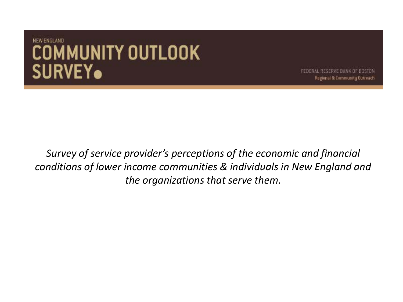FEDERAL RESERVE BANK OF BOSTON Regional & Community Outreach

*Survey of service provider's perceptions of the economic and financial conditions of lower income communities & individuals in New England and the organizations that serve them.*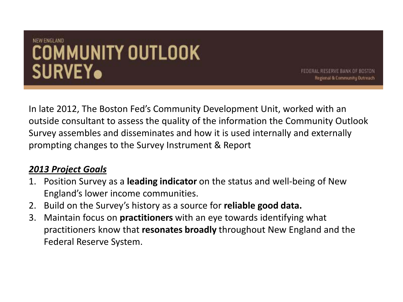FEDERAL RESERVE BANK OF BOSTON Regional & Community Outreach

In late 2012, The Boston Fed's Community Development Unit, worked with an outside consultant to assess the quality of the information the Community Outlook Survey assembles and disseminates and how it is used internally and externally prompting changes to the Survey Instrument & Report

#### *2013 Project Goals*

- 1. Position Survey as a **leading indicator** on the status and well-being of New England's lower income communities.
- 2. Build on the Survey's history as a source for **reliable good data.**
- 3. Maintain focus on **practitioners** with an eye towards identifying what practitioners know that **resonates broadly** throughout New England and the Federal Reserve System.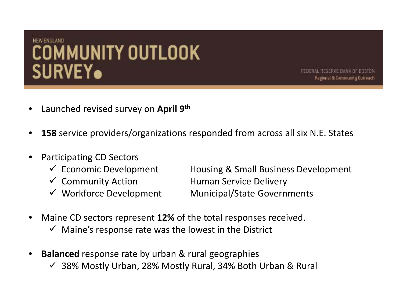FEDERAL RESERVE BANK OF BOSTON Regional & Community Outreach

- Launched revised survey on **April 9th**
- **158** service providers/organizations responded from across all six N.E. States
- Participating CD Sectors
	-
	-
	-

 $\checkmark$  Economic Development Housing & Small Business Development  $\checkmark$  Community Action Human Service Delivery  $\checkmark$  Workforce Development Municipal/State Governments

- Maine CD sectors represent **12%** of the total responses received.
	- $\checkmark$  Maine's response rate was the lowest in the District
- **Balanced** response rate by urban & rural geographies
	- $\checkmark$  38% Mostly Urban, 28% Mostly Rural, 34% Both Urban & Rural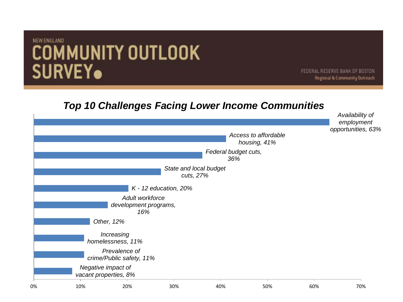FEDERAL RESERVE BANK OF BOSTON Regional & Community Outreach

#### *Top 10 Challenges Facing Lower Income Communities*

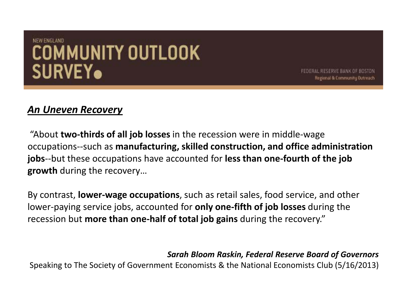FEDERAL RESERVE BANK OF BOSTON Regional & Community Outreach

#### *An Uneven Recovery*

"About **two-thirds of all job losses** in the recession were in middle-wage occupations--such as **manufacturing, skilled construction, and office administration jobs**--but these occupations have accounted for **less than one-fourth of the job growth** during the recovery…

By contrast, **lower-wage occupations**, such as retail sales, food service, and other lower-paying service jobs, accounted for **only one-fifth of job losses** during the recession but **more than one-half of total job gains** during the recovery."

*Sarah Bloom Raskin, Federal Reserve Board of Governors*

Speaking to The Society of Government Economists & the National Economists Club (5/16/2013)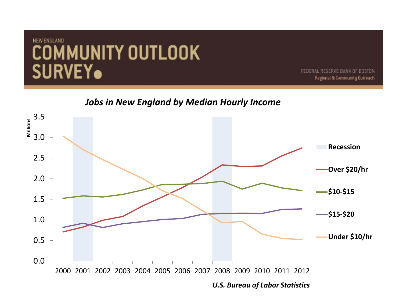FEDERAL RESERVE BANK OF BOSTON Regional & Community Outreach

*Jobs in New England by Median Hourly Income*

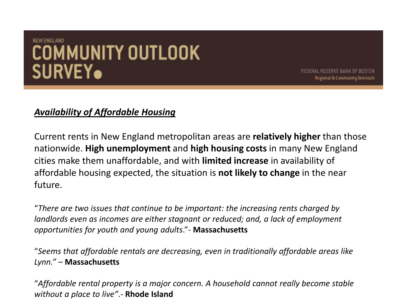FEDERAL RESERVE BANK OF BOSTON Regional & Community Outreach

#### *Availability of Affordable Housing*

Current rents in New England metropolitan areas are **relatively higher** than those nationwide. **High unemployment** and **high housing costs** in many New England cities make them unaffordable, and with **limited increase** in availability of affordable housing expected, the situation is **not likely to change** in the near future.

"*There are two issues that continue to be important: the increasing rents charged by landlords even as incomes are either stagnant or reduced; and, a lack of employment opportunities for youth and young adults*."- **Massachusetts**

"*Seems that affordable rentals are decreasing, even in traditionally affordable areas like Lynn."* – **Massachusetts**

"*Affordable rental property is a major concern. A household cannot really become stable without a place to live"*.- **Rhode Island**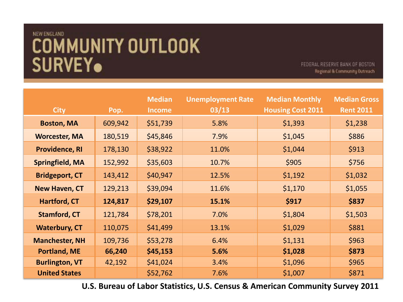FEDERAL RESERVE BANK OF BOSTON. Regional & Community Outreach

| <b>City</b>            | Pop.    | <b>Median</b><br><b>Income</b> | <b>Unemployment Rate</b><br>03/13 | <b>Median Monthly</b><br><b>Housing Cost 2011</b> | <b>Median Gross</b><br><b>Rent 2011</b> |
|------------------------|---------|--------------------------------|-----------------------------------|---------------------------------------------------|-----------------------------------------|
| <b>Boston, MA</b>      | 609,942 | \$51,739                       | 5.8%                              | \$1,393                                           | \$1,238                                 |
| <b>Worcester, MA</b>   | 180,519 | \$45,846                       | 7.9%                              | \$1,045                                           | \$886                                   |
| <b>Providence, RI</b>  | 178,130 | \$38,922                       | 11.0%                             | \$1,044                                           | \$913                                   |
| <b>Springfield, MA</b> | 152,992 | \$35,603                       | 10.7%                             | \$905                                             | \$756                                   |
| <b>Bridgeport, CT</b>  | 143,412 | \$40,947                       | 12.5%                             | \$1,192                                           | \$1,032                                 |
| <b>New Haven, CT</b>   | 129,213 | \$39,094                       | 11.6%                             | \$1,170                                           | \$1,055                                 |
| <b>Hartford, CT</b>    | 124,817 | \$29,107                       | 15.1%                             | \$917                                             | \$837                                   |
| <b>Stamford, CT</b>    | 121,784 | \$78,201                       | 7.0%                              | \$1,804                                           | \$1,503                                 |
| <b>Waterbury, CT</b>   | 110,075 | \$41,499                       | 13.1%                             | \$1,029                                           | \$881                                   |
| <b>Manchester, NH</b>  | 109,736 | \$53,278                       | 6.4%                              | \$1,131                                           | \$963                                   |
| <b>Portland, ME</b>    | 66,240  | \$45,153                       | 5.6%                              | \$1,028                                           | \$873                                   |
| <b>Burlington, VT</b>  | 42,192  | \$41,024                       | 3.4%                              | \$1,096                                           | \$965                                   |
| <b>United States</b>   |         | \$52,762                       | 7.6%                              | \$1,007                                           | \$871                                   |

**U.S. Bureau of Labor Statistics, U.S. Census & American Community Survey 2011**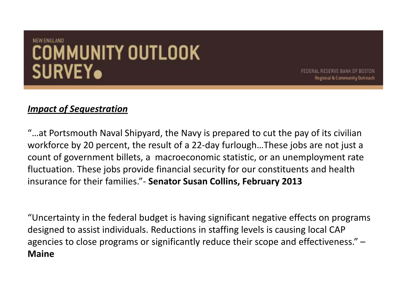FEDERAL RESERVE BANK OF BOSTON Regional & Community Outreach

#### *Impact of Sequestration*

"…at Portsmouth Naval Shipyard, the Navy is prepared to cut the pay of its civilian workforce by 20 percent, the result of a 22-day furlough…These jobs are not just a count of government billets, a macroeconomic statistic, or an unemployment rate fluctuation. These jobs provide financial security for our constituents and health insurance for their families."- **Senator Susan Collins, February 2013**

"Uncertainty in the federal budget is having significant negative effects on programs designed to assist individuals. Reductions in staffing levels is causing local CAP agencies to close programs or significantly reduce their scope and effectiveness." – **Maine**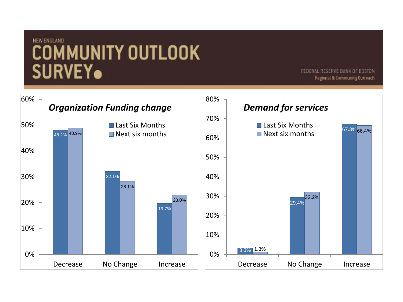FEDERAL RESERVE BANK OF BOSTON Regional & Community Outreach

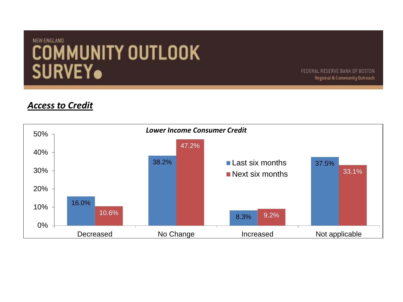FEDERAL RESERVE BANK OF BOSTON Regional & Community Outreach

#### *Access to Credit*

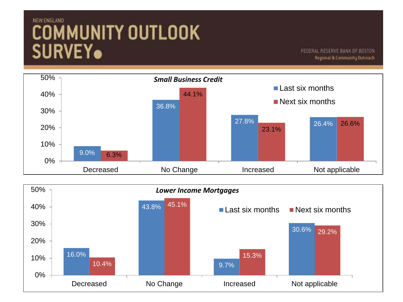FEDERAL RESERVE BANK OF BOSTON Regional & Community Outreach